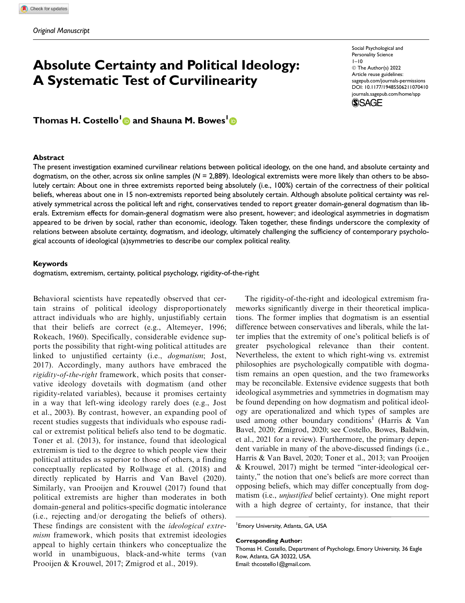# Absolute Certainty and Political Ideology: A Systematic Test of Curvilinearity

Social Psychological and Personality Science  $1 - 10$ © The Author(s) 2022 Article reuse guidelines: sagepub.com/journals-permissions DOI: 10.1177/19485506211070410 journals.sagepub.com/home/spp **SSAGE** 

Thomas H. Costello<sup>l</sup> @ and Shauna M. Bowes<sup>l</sup>

#### Abstract

The present investigation examined curvilinear relations between political ideology, on the one hand, and absolute certainty and dogmatism, on the other, across six online samples  $(N = 2,889)$ . Ideological extremists were more likely than others to be absolutely certain: About one in three extremists reported being absolutely (i.e., 100%) certain of the correctness of their political beliefs, whereas about one in 15 non-extremists reported being absolutely certain. Although absolute political certainty was relatively symmetrical across the political left and right, conservatives tended to report greater domain-general dogmatism than liberals. Extremism effects for domain-general dogmatism were also present, however; and ideological asymmetries in dogmatism appeared to be driven by social, rather than economic, ideology. Taken together, these findings underscore the complexity of relations between absolute certainty, dogmatism, and ideology, ultimately challenging the sufficiency of contemporary psychological accounts of ideological (a)symmetries to describe our complex political reality.

#### Keywords

dogmatism, extremism, certainty, political psychology, rigidity-of-the-right

Behavioral scientists have repeatedly observed that certain strains of political ideology disproportionately attract individuals who are highly, unjustifiably certain that their beliefs are correct (e.g., Altemeyer, 1996; Rokeach, 1960). Specifically, considerable evidence supports the possibility that right-wing political attitudes are linked to unjustified certainty (i.e., dogmatism; Jost, 2017). Accordingly, many authors have embraced the rigidity-of-the-right framework, which posits that conservative ideology dovetails with dogmatism (and other rigidity-related variables), because it promises certainty in a way that left-wing ideology rarely does (e.g., Jost et al., 2003). By contrast, however, an expanding pool of recent studies suggests that individuals who espouse radical or extremist political beliefs also tend to be dogmatic. Toner et al. (2013), for instance, found that ideological extremism is tied to the degree to which people view their political attitudes as superior to those of others, a finding conceptually replicated by Rollwage et al. (2018) and directly replicated by Harris and Van Bavel (2020). Similarly, van Prooijen and Krouwel (2017) found that political extremists are higher than moderates in both domain-general and politics-specific dogmatic intolerance (i.e., rejecting and/or derogating the beliefs of others). These findings are consistent with the *ideological extre*mism framework, which posits that extremist ideologies appeal to highly certain thinkers who conceptualize the world in unambiguous, black-and-white terms (van Prooijen & Krouwel, 2017; Zmigrod et al., 2019).

The rigidity-of-the-right and ideological extremism frameworks significantly diverge in their theoretical implications. The former implies that dogmatism is an essential difference between conservatives and liberals, while the latter implies that the extremity of one's political beliefs is of greater psychological relevance than their content. Nevertheless, the extent to which right-wing vs. extremist philosophies are psychologically compatible with dogmatism remains an open question, and the two frameworks may be reconcilable. Extensive evidence suggests that both ideological asymmetries and symmetries in dogmatism may be found depending on how dogmatism and political ideology are operationalized and which types of samples are used among other boundary conditions<sup>1</sup> (Harris & Van Bavel, 2020; Zmigrod, 2020; see Costello, Bowes, Baldwin, et al., 2021 for a review). Furthermore, the primary dependent variable in many of the above-discussed findings (i.e., Harris & Van Bavel, 2020; Toner et al., 2013; van Prooijen & Krouwel, 2017) might be termed ''inter-ideological certainty,'' the notion that one's beliefs are more correct than opposing beliefs, which may differ conceptually from dogmatism (i.e., unjustified belief certainty). One might report with a high degree of certainty, for instance, that their

#### Corresponding Author:

<sup>1</sup> Emory University, Atlanta, GA, USA

Thomas H. Costello, Department of Psychology, Emory University, 36 Eagle Row, Atlanta, GA 30322, USA. Email: thcostello1@gmail.com.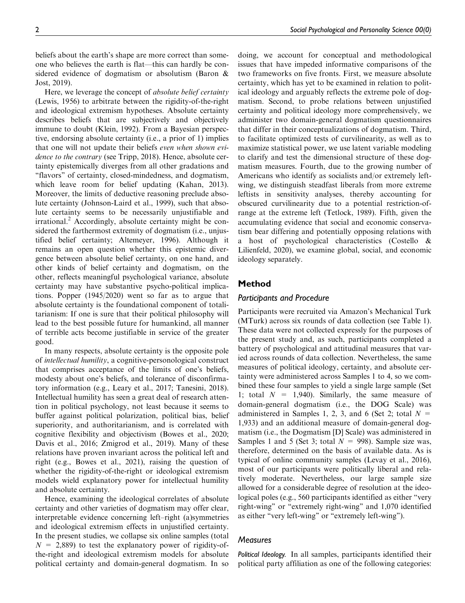beliefs about the earth's shape are more correct than someone who believes the earth is flat—this can hardly be considered evidence of dogmatism or absolutism (Baron & Jost, 2019).

Here, we leverage the concept of *absolute belief certainty* (Lewis, 1956) to arbitrate between the rigidity-of-the-right and ideological extremism hypotheses. Absolute certainty describes beliefs that are subjectively and objectively immune to doubt (Klein, 1992). From a Bayesian perspective, endorsing absolute certainty (i.e., a prior of 1) implies that one will not update their beliefs even when shown evidence to the contrary (see Tripp, 2018). Hence, absolute certainty epistemically diverges from all other gradations and ''flavors'' of certainty, closed-mindedness, and dogmatism, which leave room for belief updating (Kahan, 2013). Moreover, the limits of deductive reasoning preclude absolute certainty (Johnson-Laird et al., 1999), such that absolute certainty seems to be necessarily unjustifiable and irrational.<sup>2</sup> Accordingly, absolute certainty might be considered the farthermost extremity of dogmatism (i.e., unjustified belief certainty; Altemeyer, 1996). Although it remains an open question whether this epistemic divergence between absolute belief certainty, on one hand, and other kinds of belief certainty and dogmatism, on the other, reflects meaningful psychological variance, absolute certainty may have substantive psycho-political implications. Popper (1945/2020) went so far as to argue that absolute certainty is the foundational component of totalitarianism: If one is sure that their political philosophy will lead to the best possible future for humankind, all manner of terrible acts become justifiable in service of the greater good.

In many respects, absolute certainty is the opposite pole of intellectual humility, a cognitive-personological construct that comprises acceptance of the limits of one's beliefs, modesty about one's beliefs, and tolerance of disconfirmatory information (e.g., Leary et al., 2017; Tanesini, 2018). Intellectual humility has seen a great deal of research attention in political psychology, not least because it seems to buffer against political polarization, political bias, belief superiority, and authoritarianism, and is correlated with cognitive flexibility and objectivism (Bowes et al., 2020; Davis et al., 2016; Zmigrod et al., 2019). Many of these relations have proven invariant across the political left and right (e.g., Bowes et al., 2021), raising the question of whether the rigidity-of-the-right or ideological extremism models wield explanatory power for intellectual humility and absolute certainty.

Hence, examining the ideological correlates of absolute certainty and other varieties of dogmatism may offer clear, interpretable evidence concerning left–right (a)symmetries and ideological extremism effects in unjustified certainty. In the present studies, we collapse six online samples (total  $N = 2,889$  to test the explanatory power of rigidity-ofthe-right and ideological extremism models for absolute political certainty and domain-general dogmatism. In so doing, we account for conceptual and methodological issues that have impeded informative comparisons of the two frameworks on five fronts. First, we measure absolute certainty, which has yet to be examined in relation to political ideology and arguably reflects the extreme pole of dogmatism. Second, to probe relations between unjustified certainty and political ideology more comprehensively, we administer two domain-general dogmatism questionnaires that differ in their conceptualizations of dogmatism. Third, to facilitate optimized tests of curvilinearity, as well as to maximize statistical power, we use latent variable modeling to clarify and test the dimensional structure of these dogmatism measures. Fourth, due to the growing number of Americans who identify as socialists and/or extremely leftwing, we distinguish steadfast liberals from more extreme leftists in sensitivity analyses, thereby accounting for obscured curvilinearity due to a potential restriction-ofrange at the extreme left (Tetlock, 1989). Fifth, given the accumulating evidence that social and economic conservatism bear differing and potentially opposing relations with a host of psychological characteristics (Costello & Lilienfeld, 2020), we examine global, social, and economic ideology separately.

## Method

#### Participants and Procedure

Participants were recruited via Amazon's Mechanical Turk (MTurk) across six rounds of data collection (see Table 1). These data were not collected expressly for the purposes of the present study and, as such, participants completed a battery of psychological and attitudinal measures that varied across rounds of data collection. Nevertheless, the same measures of political ideology, certainty, and absolute certainty were administered across Samples 1 to 4, so we combined these four samples to yield a single large sample (Set 1; total  $N = 1,940$ . Similarly, the same measure of domain-general dogmatism (i.e., the DOG Scale) was administered in Samples 1, 2, 3, and 6 (Set 2; total  $N =$ 1,933) and an additional measure of domain-general dogmatism (i.e., the Dogmatism [D] Scale) was administered in Samples 1 and 5 (Set 3; total  $N = 998$ ). Sample size was, therefore, determined on the basis of available data. As is typical of online community samples (Levay et al., 2016), most of our participants were politically liberal and relatively moderate. Nevertheless, our large sample size allowed for a considerable degree of resolution at the ideological poles (e.g., 560 participants identified as either "very right-wing'' or ''extremely right-wing'' and 1,070 identified as either ''very left-wing'' or ''extremely left-wing'').

#### **Measures**

Political Ideology. In all samples, participants identified their political party affiliation as one of the following categories: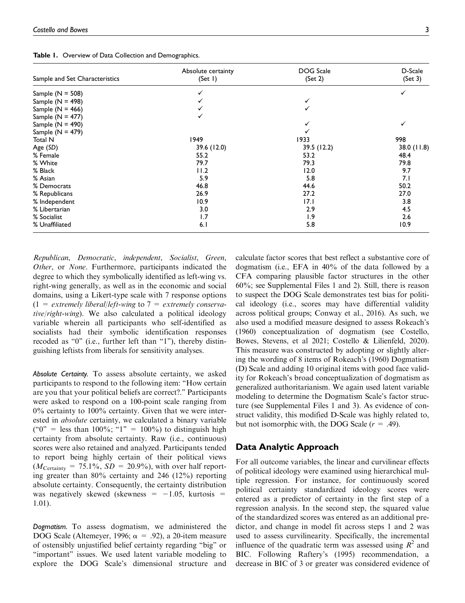Table 1. Overview of Data Collection and Demographics.

| Sample and Set Characteristics | Absolute certainty<br>(Set I) | DOG Scale<br>(Set 2) | D-Scale<br>(Set 3) |
|--------------------------------|-------------------------------|----------------------|--------------------|
| Sample $(N = 508)$             |                               |                      |                    |
| Sample ( $N = 498$ )           |                               |                      |                    |
| Sample $(N = 466)$             |                               |                      |                    |
| Sample ( $N = 477$ )           |                               |                      |                    |
| Sample ( $N = 490$ )           |                               |                      |                    |
| Sample ( $N = 479$ )           |                               |                      |                    |
| Total N                        | 1949                          | 1933                 | 998                |
| Age (SD)                       | 39.6 (12.0)                   | 39.5 (12.2)          | 38.0(11.8)         |
| % Female                       | 55.2                          | 53.2                 | 48.4               |
| % White                        | 79.7                          | 79.3                 | 79.8               |
| % Black                        | 11.2                          | 12.0                 | 9.7                |
| % Asian                        | 5.9                           | 5.8                  | 7.1                |
| % Democrats                    | 46.8                          | 44.6                 | 50.2               |
| % Republicans                  | 26.9                          | 27.2                 | 27.0               |
| % Independent                  | 10.9                          | 17.1                 | 3.8                |
| % Libertarian                  | 3.0                           | 2.9                  | 4.5                |
| % Socialist                    | 1.7                           | 1.9                  | 2.6                |
| % Unaffiliated                 | 6.1                           | 5.8                  | 10.9               |

Republican, Democratic, independent, Socialist, Green, Other, or None. Furthermore, participants indicated the degree to which they symbolically identified as left-wing vs. right-wing generally, as well as in the economic and social domains, using a Likert-type scale with 7 response options  $(1 =$  extremely liberal/left-wing to  $7 =$  extremely conservative/right-wing). We also calculated a political ideology variable wherein all participants who self-identified as socialists had their symbolic identification responses recoded as "0" (i.e., further left than "1"), thereby distinguishing leftists from liberals for sensitivity analyses.

Absolute Certainty. To assess absolute certainty, we asked participants to respond to the following item: ''How certain are you that your political beliefs are correct?.'' Participants were asked to respond on a 100-point scale ranging from 0% certainty to 100% certainty. Given that we were interested in absolute certainty, we calculated a binary variable ("0" = less than  $100\%$ ; "1" =  $100\%$ ) to distinguish high certainty from absolute certainty. Raw (i.e., continuous) scores were also retained and analyzed. Participants tended to report being highly certain of their political views  $(M_{\text{Centainty}} = 75.1\%, SD = 20.9\%)$ , with over half reporting greater than 80% certainty and 246 (12%) reporting absolute certainty. Consequently, the certainty distribution was negatively skewed (skewness  $= -1.05$ , kurtosis  $=$ 1.01).

Dogmatism. To assess dogmatism, we administered the DOG Scale (Altemeyer, 1996;  $\alpha = .92$ ), a 20-item measure of ostensibly unjustified belief certainty regarding ''big'' or ''important'' issues. We used latent variable modeling to explore the DOG Scale's dimensional structure and

calculate factor scores that best reflect a substantive core of dogmatism (i.e., EFA in 40% of the data followed by a CFA comparing plausible factor structures in the other 60%; see Supplemental Files 1 and 2). Still, there is reason to suspect the DOG Scale demonstrates test bias for political ideology (i.e., scores may have differential validity across political groups; Conway et al., 2016). As such, we also used a modified measure designed to assess Rokeach's (1960) conceptualization of dogmatism (see Costello, Bowes, Stevens, et al 2021; Costello & Lilienfeld, 2020). This measure was constructed by adopting or slightly altering the wording of 8 items of Rokeach's (1960) Dogmatism (D) Scale and adding 10 original items with good face validity for Rokeach's broad conceptualization of dogmatism as generalized authoritarianism. We again used latent variable modeling to determine the Dogmatism Scale's factor structure (see Supplemental Files 1 and 3). As evidence of construct validity, this modified D-Scale was highly related to, but not isomorphic with, the DOG Scale  $(r = .49)$ .

# Data Analytic Approach

For all outcome variables, the linear and curvilinear effects of political ideology were examined using hierarchical multiple regression. For instance, for continuously scored political certainty standardized ideology scores were entered as a predictor of certainty in the first step of a regression analysis. In the second step, the squared value of the standardized scores was entered as an additional predictor, and change in model fit across steps 1 and 2 was used to assess curvilinearity. Specifically, the incremental influence of the quadratic term was assessed using  $R^2$  and BIC. Following Raftery's (1995) recommendation, a decrease in BIC of 3 or greater was considered evidence of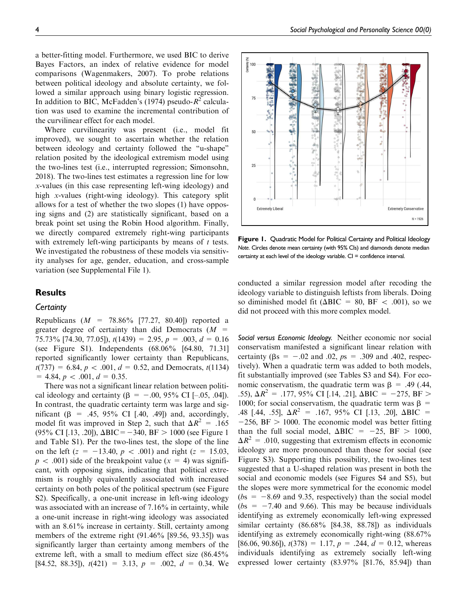a better-fitting model. Furthermore, we used BIC to derive Bayes Factors, an index of relative evidence for model comparisons (Wagenmakers, 2007). To probe relations between political ideology and absolute certainty, we followed a similar approach using binary logistic regression. In addition to BIC, McFadden's (1974) pseudo- $R^2$  calculation was used to examine the incremental contribution of the curvilinear effect for each model.

Where curvilinearity was present (i.e., model fit improved), we sought to ascertain whether the relation between ideology and certainty followed the ''u-shape'' relation posited by the ideological extremism model using the two-lines test (i.e., interrupted regression; Simonsohn, 2018). The two-lines test estimates a regression line for low x-values (in this case representing left-wing ideology) and high x-values (right-wing ideology). This category split allows for a test of whether the two slopes (1) have opposing signs and (2) are statistically significant, based on a break point set using the Robin Hood algorithm. Finally, we directly compared extremely right-wing participants with extremely left-wing participants by means of  $t$  tests. We investigated the robustness of these models via sensitivity analyses for age, gender, education, and cross-sample variation (see Supplemental File 1).

# Results

### **Certainty**

Republicans ( $M = 78.86\%$  [77.27, 80.40]) reported a greater degree of certainty than did Democrats  $(M =$ 75.73% [74.30, 77.05]),  $t(1439) = 2.95$ ,  $p = .003$ ,  $d = 0.16$ (see Figure S1). Independents (68.06% [64.80, 71.31] reported significantly lower certainty than Republicans,  $t(737) = 6.84, p < .001, d = 0.52,$  and Democrats,  $t(1134)$  $= 4.84, p < .001, d = 0.35.$ 

There was not a significant linear relation between political ideology and certainty ( $\beta = -.00, 95\%$  CI [–.05, .04]). In contrast, the quadratic certainty term was large and significant ( $\beta$  = .45, 95% CI [.40, .49]) and, accordingly, model fit was improved in Step 2, such that  $\Delta R^2 = .165$ (95% CI [.13, .20]),  $\Delta BIC = -340$ ,  $BF > 1000$  (see Figure 1) and Table S1). Per the two-lines test, the slope of the line on the left ( $z = -13.40$ ,  $p < .001$ ) and right ( $z = 15.03$ ,  $p \lt .001$ ) side of the breakpoint value (x = 4) was significant, with opposing signs, indicating that political extremism is roughly equivalently associated with increased certainty on both poles of the political spectrum (see Figure S2). Specifically, a one-unit increase in left-wing ideology was associated with an increase of 7.16% in certainty, while a one-unit increase in right-wing ideology was associated with an 8.61% increase in certainty. Still, certainty among members of the extreme right (91.46% [89.56, 93.35]) was significantly larger than certainty among members of the extreme left, with a small to medium effect size (86.45% [84.52, 88.35]),  $t(421) = 3.13$ ,  $p = .002$ ,  $d = 0.34$ . We



Figure 1. Quadratic Model for Political Certainty and Political Ideology Note. Circles denote mean certainty (with 95% CIs) and diamonds denote median certainty at each level of the ideology variable.  $CI =$  confidence interval.

conducted a similar regression model after recoding the ideology variable to distinguish leftists from liberals. Doing so diminished model fit ( $\triangle BIC = 80$ , BF < .001), so we did not proceed with this more complex model.

Social versus Economic Ideology. Neither economic nor social conservatism manifested a significant linear relation with certainty ( $\beta s = -.02$  and .02,  $p s = .309$  and .402, respectively). When a quadratic term was added to both models, fit substantially improved (see Tables S3 and S4). For economic conservatism, the quadratic term was  $\beta$  = .49 (.44, .55),  $\Delta R^2 = .177,95\%$  CI [.14, .21],  $\Delta BIC = -275,BF >$ 1000; for social conservatism, the quadratic term was  $\beta$  = .48 [.44, .55],  $\Delta R^2$  = .167, 95% CI [.13, .20],  $\Delta BIC$  =  $-256$ , BF  $> 1000$ . The economic model was better fitting than the full social model,  $\Delta BIC = -25$ ,  $BF > 1000$ ,  $\Delta R^2 = .010$ , suggesting that extremism effects in economic ideology are more pronounced than those for social (see Figure S3). Supporting this possibility, the two-lines test suggested that a U-shaped relation was present in both the social and economic models (see Figures S4 and S5), but the slopes were more symmetrical for the economic model  $(bs = -8.69$  and 9.35, respectively) than the social model  $(bs = -7.40$  and 9.66). This may be because individuals identifying as extremely economically left-wing expressed similar certainty (86.68% [84.38, 88.78]) as individuals identifying as extremely economically right-wing (88.67% [86.06, 90.86]),  $t(378) = 1.17$ ,  $p = .244$ ,  $d = 0.12$ , whereas individuals identifying as extremely socially left-wing expressed lower certainty (83.97% [81.76, 85.94]) than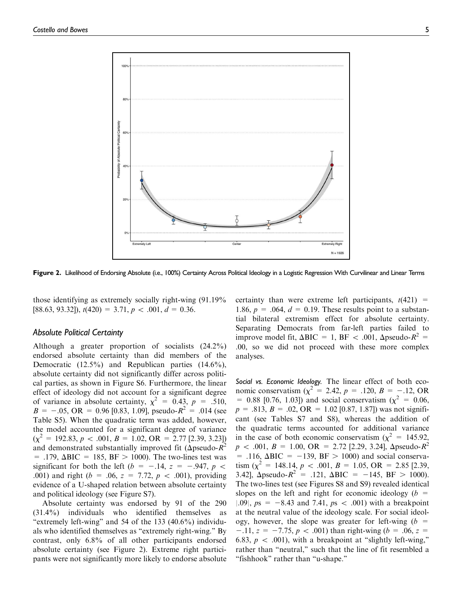

Figure 2. Likelihood of Endorsing Absolute (i.e., 100%) Certainty Across Political Ideology in a Logistic Regression With Curvilinear and Linear Terms

those identifying as extremely socially right-wing (91.19%  $[88.63, 93.32]$ ,  $t(420) = 3.71$ ,  $p < .001$ ,  $d = 0.36$ .

### Absolute Political Certainty

Although a greater proportion of socialists (24.2%) endorsed absolute certainty than did members of the Democratic (12.5%) and Republican parties (14.6%), absolute certainty did not significantly differ across political parties, as shown in Figure S6. Furthermore, the linear effect of ideology did not account for a significant degree of variance in absolute certainty,  $\chi^2 = 0.43$ ,  $p = .510$ ,  $B = -.05$ , OR = 0.96 [0.83, 1.09], pseudo- $R^2 = .014$  (see Table S5). When the quadratic term was added, however, the model accounted for a significant degree of variance  $(\chi^2 = 192.83, p < .001, B = 1.02, \text{OR} = 2.77 \,[2.39, 3.23])$ and demonstrated substantially improved fit ( $\Delta$ pseudo- $\overline{R}^2$  $= .179, \Delta BIC = 185, BF > 1000$ . The two-lines test was significant for both the left ( $b = -.14$ ,  $z = -.947$ ,  $p <$ .001) and right ( $b = .06$ ,  $z = 7.72$ ,  $p < .001$ ), providing evidence of a U-shaped relation between absolute certainty and political ideology (see Figure S7).

Absolute certainty was endorsed by 91 of the 290 (31.4%) individuals who identified themselves as "extremely left-wing" and 54 of the  $133$  (40.6%) individuals who identified themselves as ''extremely right-wing.'' By contrast, only 6.8% of all other participants endorsed absolute certainty (see Figure 2). Extreme right participants were not significantly more likely to endorse absolute certainty than were extreme left participants,  $t(421)$  = 1.86,  $p = .064$ ,  $d = 0.19$ . These results point to a substantial bilateral extremism effect for absolute certainty. Separating Democrats from far-left parties failed to improve model fit,  $\Delta BIC = 1$ ,  $BF < .001$ ,  $\Delta pseudo-R^2 =$ .00, so we did not proceed with these more complex analyses.

Social vs. Economic Ideology. The linear effect of both economic conservatism ( $\chi^2 = 2.42$ ,  $p = .120$ ,  $B = -.12$ , OR = 0.88 [0.76, 1.03]) and social conservatism ( $\chi^2$  = 0.06,  $p = .813$ ,  $B = .02$ ,  $OR = 1.02$  [0.87, 1.87]) was not significant (see Tables S7 and S8), whereas the addition of the quadratic terms accounted for additional variance in the case of both economic conservatism ( $\chi^2 = 145.92$ ,  $p \sim .001, B = 1.00, \text{ OR } = 2.72 \text{ [}2.29, 3.24 \text{], } \Delta$ pseudo- $R^2$  $=$  .116,  $\triangle BIC = -139$ ,  $BF > 1000$ ) and social conservatism  $\left(\chi^2 = 148.14, p \right. < .001, B = 1.05, \text{ OR } = 2.85 \, [2.39,$ 3.42],  $\Delta$ pseudo- $R^2$  = .121,  $\Delta BIC$  = -145, BF > 1000). The two-lines test (see Figures S8 and S9) revealed identical slopes on the left and right for economic ideology ( $b =$  $|.09|, ps = -8.43$  and 7.41,  $ps < .001$ ) with a breakpoint at the neutral value of the ideology scale. For social ideology, however, the slope was greater for left-wing  $(b =$  $-11$ ,  $z = -7.75$ ,  $p < .001$ ) than right-wing (b = .06, z = 6.83,  $p \, < \, 0.001$ ), with a breakpoint at "slightly left-wing," rather than "neutral," such that the line of fit resembled a ''fishhook'' rather than ''u-shape.''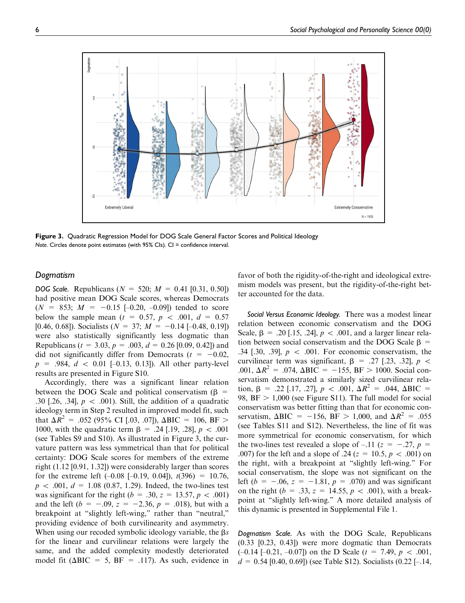

Figure 3. Quadratic Regression Model for DOG Scale General Factor Scores and Political Ideology Note. Circles denote point estimates (with  $95\%$  Cls). Cl = confidence interval.

## Dogmatism

**DOG Scale.** Republicans ( $N = 520$ ;  $M = 0.41$  [0.31, 0.50]) had positive mean DOG Scale scores, whereas Democrats  $(N = 853; M = -0.15 [-0.20, -0.09])$  tended to score below the sample mean ( $t = 0.57$ ,  $p \lt 0.001$ ,  $d = 0.57$ [0.46, 0.68]). Socialists ( $N = 37$ ;  $M = -0.14$  [-0.48, 0.19]) were also statistically significantly less dogmatic than Republicans ( $t = 3.03$ ,  $p = .003$ ,  $d = 0.26$  [0.09, 0.42]) and did not significantly differ from Democrats ( $t = -0.02$ ,  $p = .984, d < 0.01$  [–0.13, 0.13]). All other party-level results are presented in Figure S10.

Accordingly, there was a significant linear relation between the DOG Scale and political conservatism ( $\beta$  = .30 [.26, .34],  $p \, < \, 0.001$ ). Still, the addition of a quadratic ideology term in Step 2 resulted in improved model fit, such that  $\Delta R^2 = .052$  (95% CI [.03, .07]),  $\Delta BIC = 106$ , BF > 1000, with the quadratic term  $\beta = .24$  [.19, .28],  $p < .001$ (see Tables S9 and S10). As illustrated in Figure 3, the curvature pattern was less symmetrical than that for political certainty: DOG Scale scores for members of the extreme right (1.12 [0.91, 1.32]) were considerably larger than scores for the extreme left  $(-0.08 [-0.19, 0.04])$ ,  $t(396) = 10.76$ ,  $p \lt .001, d = 1.08 (0.87, 1.29)$ . Indeed, the two-lines test was significant for the right ( $b = .30$ ,  $z = 13.57$ ,  $p < .001$ ) and the left ( $b = -.09$ ,  $z = -2.36$ ,  $p = .018$ ), but with a breakpoint at "slightly left-wing," rather than "neutral," providing evidence of both curvilinearity and asymmetry. When using our recoded symbolic ideology variable, the  $\beta s$ for the linear and curvilinear relations were largely the same, and the added complexity modestly deteriorated model fit ( $\triangle BIC = 5$ ,  $BF = .117$ ). As such, evidence in favor of both the rigidity-of-the-right and ideological extremism models was present, but the rigidity-of-the-right better accounted for the data.

Social Versus Economic Ideology. There was a modest linear relation between economic conservatism and the DOG Scale,  $\beta = .20$  [.15, .24],  $p < .001$ , and a larger linear relation between social conservatism and the DOG Scale  $\beta$  = .34 [.30, .39],  $p \, < \, 0.001$ . For economic conservatism, the curvilinear term was significant,  $\beta$  = .27 [.23, .32],  $p \lt \theta$ .001,  $\Delta R^2 = .074$ ,  $\Delta BIC = -155$ ,  $BF > 1000$ . Social conservatism demonstrated a similarly sized curvilinear relation,  $\beta$  = .22 [.17, .27],  $p \lt .001$ ,  $\Delta R^2$  = .044,  $\Delta BIC$  = 98,  $BF > 1,000$  (see Figure S11). The full model for social conservatism was better fitting than that for economic conservatism,  $\triangle BIC = -156$ ,  $BF > 1,000$ , and  $\triangle R^2 = .055$ (see Tables S11 and S12). Nevertheless, the line of fit was more symmetrical for economic conservatism, for which the two-lines test revealed a slope of  $-.11$  ( $z = -.27$ ,  $p =$ .007) for the left and a slope of .24 ( $z = 10.5$ ,  $p < .001$ ) on the right, with a breakpoint at ''slightly left-wing.'' For social conservatism, the slope was not significant on the left ( $b = -.06$ ,  $z = -1.81$ ,  $p = .070$ ) and was significant on the right ( $b = .33$ ,  $z = 14.55$ ,  $p < .001$ ), with a breakpoint at ''slightly left-wing.'' A more detailed analysis of this dynamic is presented in Supplemental File 1.

Dogmatism Scale. As with the DOG Scale, Republicans (0.33 [0.23, 0.43]) were more dogmatic than Democrats  $(-0.14 \, [-0.21, -0.07])$  on the D Scale ( $t = 7.49, p < .001$ ,  $d = 0.54$  [0.40, 0.69]) (see Table S12). Socialists (0.22 [-.14,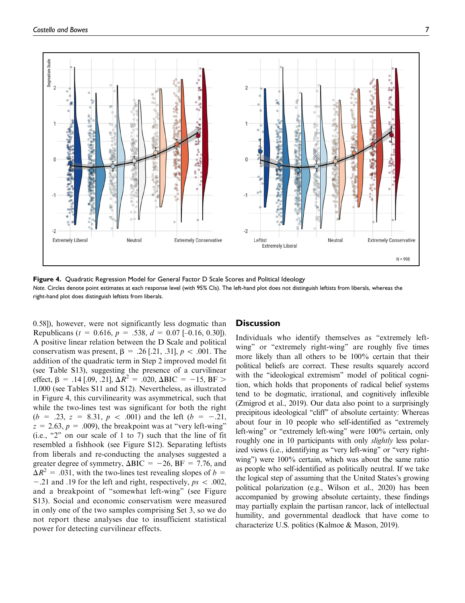

Figure 4. Quadratic Regression Model for General Factor D Scale Scores and Political Ideology Note. Circles denote point estimates at each response level (with 95% CIs). The left-hand plot does not distinguish leftists from liberals, whereas the right-hand plot does distinguish leftists from liberals.

0.58]), however, were not significantly less dogmatic than Republicans ( $t = 0.616$ ,  $p = .538$ ,  $d = 0.07$  [-0.16, 0.30]). A positive linear relation between the D Scale and political conservatism was present,  $\beta = .26$  [.21, .31],  $p < .001$ . The addition of the quadratic term in Step 2 improved model fit (see Table S13), suggesting the presence of a curvilinear effect,  $\beta$  = .14 [.09, .21],  $\Delta R^2$  = .020,  $\Delta BIC$  = -15, BF > 1,000 (see Tables S11 and S12). Nevertheless, as illustrated in Figure 4, this curvilinearity was asymmetrical, such that while the two-lines test was significant for both the right  $(b = .23, z = 8.31, p < .001)$  and the left  $(b = -.21,$  $z = 2.63$ ,  $p = .009$ ), the breakpoint was at "very left-wing" (i.e., " $2$ " on our scale of 1 to 7) such that the line of fit resembled a fishhook (see Figure S12). Separating leftists from liberals and re-conducting the analyses suggested a greater degree of symmetry,  $\Delta BIC = -26$ ,  $BF = 7.76$ , and  $\Delta R^2$  = .031, with the two-lines test revealing slopes of b =  $-0.21$  and  $0.19$  for the left and right, respectively,  $ps < 0.002$ , and a breakpoint of ''somewhat left-wing'' (see Figure S13). Social and economic conservatism were measured in only one of the two samples comprising Set 3, so we do not report these analyses due to insufficient statistical power for detecting curvilinear effects.

### **Discussion**

Individuals who identify themselves as ''extremely leftwing" or "extremely right-wing" are roughly five times more likely than all others to be 100% certain that their political beliefs are correct. These results squarely accord with the "ideological extremism" model of political cognition, which holds that proponents of radical belief systems tend to be dogmatic, irrational, and cognitively inflexible (Zmigrod et al., 2019). Our data also point to a surprisingly precipitous ideological ''cliff'' of absolute certainty: Whereas about four in 10 people who self-identified as ''extremely left-wing" or "extremely left-wing" were 100% certain, only roughly one in 10 participants with only *slightly* less polarized views (i.e., identifying as "very left-wing" or "very rightwing'') were 100% certain, which was about the same ratio as people who self-identified as politically neutral. If we take the logical step of assuming that the United States's growing political polarization (e.g., Wilson et al., 2020) has been accompanied by growing absolute certainty, these findings may partially explain the partisan rancor, lack of intellectual humility, and governmental deadlock that have come to characterize U.S. politics (Kalmoe & Mason, 2019).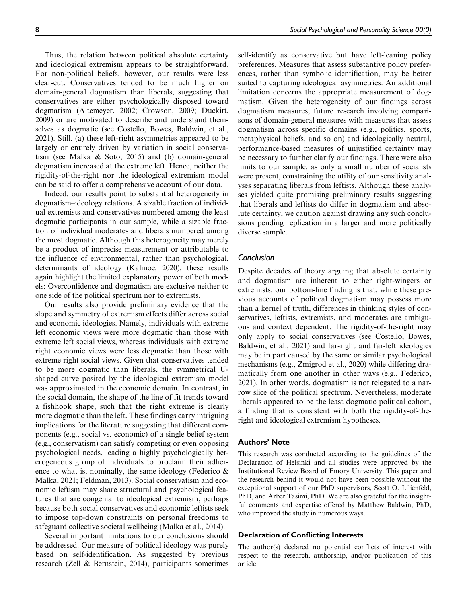Thus, the relation between political absolute certainty and ideological extremism appears to be straightforward. For non-political beliefs, however, our results were less clear-cut. Conservatives tended to be much higher on domain-general dogmatism than liberals, suggesting that conservatives are either psychologically disposed toward dogmatism (Altemeyer, 2002; Crowson, 2009; Duckitt, 2009) or are motivated to describe and understand themselves as dogmatic (see Costello, Bowes, Baldwin, et al., 2021). Still, (a) these left-right asymmetries appeared to be largely or entirely driven by variation in social conservatism (see Malka & Soto, 2015) and (b) domain-general dogmatism increased at the extreme left. Hence, neither the rigidity-of-the-right nor the ideological extremism model can be said to offer a comprehensive account of our data.

Indeed, our results point to substantial heterogeneity in dogmatism–ideology relations. A sizable fraction of individual extremists and conservatives numbered among the least dogmatic participants in our sample, while a sizable fraction of individual moderates and liberals numbered among the most dogmatic. Although this heterogeneity may merely be a product of imprecise measurement or attributable to the influence of environmental, rather than psychological, determinants of ideology (Kalmoe, 2020), these results again highlight the limited explanatory power of both models: Overconfidence and dogmatism are exclusive neither to one side of the political spectrum nor to extremists.

Our results also provide preliminary evidence that the slope and symmetry of extremism effects differ across social and economic ideologies. Namely, individuals with extreme left economic views were more dogmatic than those with extreme left social views, whereas individuals with extreme right economic views were less dogmatic than those with extreme right social views. Given that conservatives tended to be more dogmatic than liberals, the symmetrical Ushaped curve posited by the ideological extremism model was approximated in the economic domain. In contrast, in the social domain, the shape of the line of fit trends toward a fishhook shape, such that the right extreme is clearly more dogmatic than the left. These findings carry intriguing implications for the literature suggesting that different components (e.g., social vs. economic) of a single belief system (e.g., conservatism) can satisfy competing or even opposing psychological needs, leading a highly psychologically heterogeneous group of individuals to proclaim their adherence to what is, nominally, the same ideology (Federico  $\&$ Malka, 2021; Feldman, 2013). Social conservatism and economic leftism may share structural and psychological features that are congenial to ideological extremism, perhaps because both social conservatives and economic leftists seek to impose top-down constraints on personal freedoms to safeguard collective societal wellbeing (Malka et al., 2014).

Several important limitations to our conclusions should be addressed. Our measure of political ideology was purely based on self-identification. As suggested by previous research (Zell & Bernstein, 2014), participants sometimes self-identify as conservative but have left-leaning policy preferences. Measures that assess substantive policy preferences, rather than symbolic identification, may be better suited to capturing ideological asymmetries. An additional limitation concerns the appropriate measurement of dogmatism. Given the heterogeneity of our findings across dogmatism measures, future research involving comparisons of domain-general measures with measures that assess dogmatism across specific domains (e.g., politics, sports, metaphysical beliefs, and so on) and ideologically neutral, performance-based measures of unjustified certainty may be necessary to further clarify our findings. There were also limits to our sample, as only a small number of socialists were present, constraining the utility of our sensitivity analyses separating liberals from leftists. Although these analyses yielded quite promising preliminary results suggesting that liberals and leftists do differ in dogmatism and absolute certainty, we caution against drawing any such conclusions pending replication in a larger and more politically diverse sample.

# Conclusion

Despite decades of theory arguing that absolute certainty and dogmatism are inherent to either right-wingers or extremists, our bottom-line finding is that, while these previous accounts of political dogmatism may possess more than a kernel of truth, differences in thinking styles of conservatives, leftists, extremists, and moderates are ambiguous and context dependent. The rigidity-of-the-right may only apply to social conservatives (see Costello, Bowes, Baldwin, et al., 2021) and far-right and far-left ideologies may be in part caused by the same or similar psychological mechanisms (e.g., Zmigrod et al., 2020) while differing dramatically from one another in other ways (e.g., Federico, 2021). In other words, dogmatism is not relegated to a narrow slice of the political spectrum. Nevertheless, moderate liberals appeared to be the least dogmatic political cohort, a finding that is consistent with both the rigidity-of-theright and ideological extremism hypotheses.

### Authors' Note

This research was conducted according to the guidelines of the Declaration of Helsinki and all studies were approved by the Institutional Review Board of Emory University. This paper and the research behind it would not have been possible without the exceptional support of our PhD supervisors, Scott O. Lilienfeld, PhD, and Arber Tasimi, PhD. We are also grateful for the insightful comments and expertise offered by Matthew Baldwin, PhD, who improved the study in numerous ways.

## Declaration of Conflicting Interests

The author(s) declared no potential conflicts of interest with respect to the research, authorship, and/or publication of this article.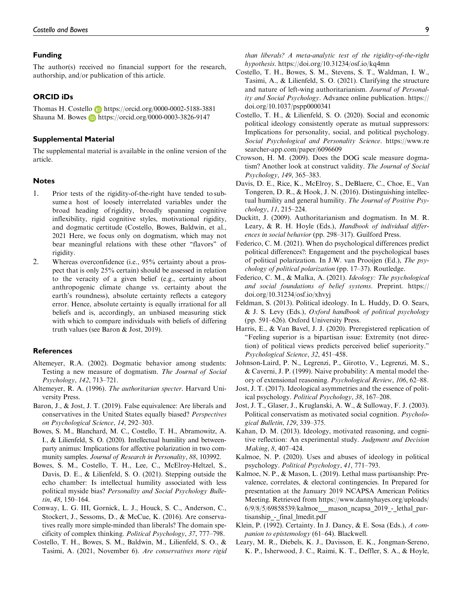#### Funding

The author(s) received no financial support for the research, authorship, and/or publication of this article.

## ORCID iDs

Thomas H. Costello https://orcid.org/0000-0002-5188-3881 Shauna M. Bowes **b** https://orcid.org/0000-0003-3826-9147

#### Supplemental Material

The supplemental material is available in the online version of the article.

#### Notes

- 1. Prior tests of the rigidity-of-the-right have tended to subsume a host of loosely interrelated variables under the broad heading of rigidity, broadly spanning cognitive inflexibility, rigid cognitive styles, motivational rigidity, and dogmatic certitude (Costello, Bowes, Baldwin, et al., 2021 Here, we focus only on dogmatism, which may not bear meaningful relations with these other ''flavors'' of rigidity.
- 2. Whereas overconfidence (i.e., 95% certainty about a prospect that is only 25% certain) should be assessed in relation to the veracity of a given belief (e.g., certainty about anthropogenic climate change vs. certainty about the earth's roundness), absolute certainty reflects a category error. Hence, absolute certainty is equally irrational for all beliefs and is, accordingly, an unbiased measuring stick with which to compare individuals with beliefs of differing truth values (see Baron & Jost, 2019).

#### **References**

- Altemeyer, R.A. (2002). Dogmatic behavior among students: Testing a new measure of dogmatism. The Journal of Social Psychology, 142, 713–721.
- Altemeyer, R. A. (1996). The authoritarian specter. Harvard University Press.
- Baron, J., & Jost, J. T. (2019). False equivalence: Are liberals and conservatives in the United States equally biased? Perspectives on Psychological Science, 14, 292–303.
- Bowes, S. M., Blanchard, M. C., Costello, T. H., Abramowitz, A. I., & Lilienfeld, S. O. (2020). Intellectual humility and betweenparty animus: Implications for affective polarization in two community samples. Journal of Research in Personality, 88, 103992.
- Bowes, S. M., Costello, T. H., Lee, C., McElroy-Heltzel, S., Davis, D. E., & Lilienfeld, S. O. (2021). Stepping outside the echo chamber: Is intellectual humility associated with less political myside bias? Personality and Social Psychology Bulletin, 48, 150–164.
- Conway, L. G. III, Gornick, L. J., Houck, S. C., Anderson, C., Stockert, J., Sessoms, D., & McCue, K. (2016). Are conservatives really more simple-minded than liberals? The domain specificity of complex thinking. Political Psychology, 37, 777–798.
- Costello, T. H., Bowes, S. M., Baldwin, M., Lilienfeld, S. O., & Tasimi, A. (2021, November 6). Are conservatives more rigid

than liberals? A meta-analytic test of the rigidity-of-the-right hypothesis. https://doi.org/10.31234/osf.io/kq4mn

- Costello, T. H., Bowes, S. M., Stevens, S. T., Waldman, I. W., Tasimi, A., & Lilienfeld, S. O. (2021). Clarifying the structure and nature of left-wing authoritarianism. Journal of Personality and Social Psychology. Advance online publication. https:// doi.org/10.1037/pspp0000341
- Costello, T. H., & Lilienfeld, S. O. (2020). Social and economic political ideology consistently operate as mutual suppressors: Implications for personality, social, and political psychology. Social Psychological and Personality Science. https://www.re searcher-app.com/paper/6096609
- Crowson, H. M. (2009). Does the DOG scale measure dogmatism? Another look at construct validity. The Journal of Social Psychology, 149, 365–383.
- Davis, D. E., Rice, K., McElroy, S., DeBlaere, C., Choe, E., Van Tongeren, D. R., & Hook, J. N. (2016). Distinguishing intellectual humility and general humility. The Journal of Positive Psychology, 11, 215–224.
- Duckitt, J. (2009). Authoritarianism and dogmatism. In M. R. Leary, & R. H. Hoyle (Eds.), Handbook of individual differences in social behavior (pp. 298–317). Guilford Press.
- Federico, C. M. (2021). When do psychological differences predict political differences?: Engagement and the psychological bases of political polarization. In J.W. van Prooijen (Ed.), The psychology of political polarization (pp. 17–37). Routledge.
- Federico, C. M., & Malka, A. (2021). Ideology: The psychological and social foundations of belief systems. Preprint. https:// doi.org/10.31234/osf.io/xhvyj
- Feldman, S. (2013). Political ideology. In L. Huddy, D. O. Sears, & J. S. Levy (Eds.), Oxford handbook of political psychology (pp. 591–626). Oxford University Press.
- Harris, E., & Van Bavel, J. J. (2020). Preregistered replication of ''Feeling superior is a bipartisan issue: Extremity (not direction) of political views predicts perceived belief superiority.'' Psychological Science, 32, 451–458.
- Johnson-Laird, P. N., Legrenzi, P., Girotto, V., Legrenzi, M. S., & Caverni, J. P. (1999). Naive probability: A mental model theory of extensional reasoning. Psychological Review, 106, 62–88.
- Jost, J. T. (2017). Ideological asymmetries and the essence of political psychology. Political Psychology, 38, 167–208.
- Jost, J. T., Glaser, J., Kruglanski, A. W., & Sulloway, F. J. (2003). Political conservatism as motivated social cognition. Psychological Bulletin, 129, 339–375.
- Kahan, D. M. (2013). Ideology, motivated reasoning, and cognitive reflection: An experimental study. Judgment and Decision Making, 8, 407–424.
- Kalmoe, N. P. (2020). Uses and abuses of ideology in political psychology. Political Psychology, 41, 771–793.
- Kalmoe, N. P., & Mason, L. (2019). Lethal mass partisanship: Prevalence, correlates, & electoral contingencies. In Prepared for presentation at the January 2019 NCAPSA American Politics Meeting. Retrieved from https://www.dannyhayes.org/uploads/ 6/9/8/5/69858539/kalmoe\_\_\_mason\_ncapsa\_2019\_-\_lethal\_partisanship\_-\_final\_lmedit.pdf
- Klein, P. (1992). Certainty. In J. Dancy, & E. Sosa (Eds.), A companion to epistemology (61–64). Blackwell.
- Leary, M. R., Diebels, K. J., Davisson, E. K., Jongman-Sereno, K. P., Isherwood, J. C., Raimi, K. T., Deffler, S. A., & Hoyle,